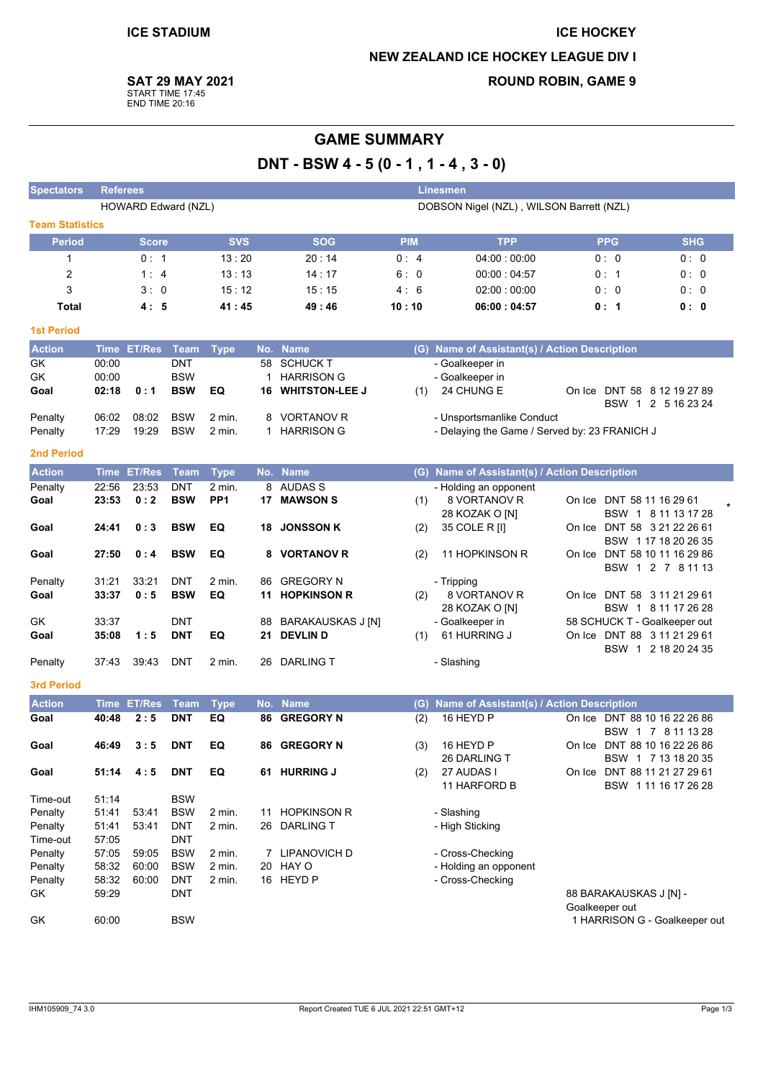## **ICE HOCKEY NEW ZEALAND ICE HOCKEY LEAGUE DIV I ROUND ROBIN, GAME 9**

**SAT 29 MAY 2021** 

START TIME 17:45<br>END TIME 20:16

# **GAME SUMMARY** DNT - BSW 4 - 5 (0 - 1, 1 - 4, 3 - 0)

| <b>Spectators</b>      |                                                                 | <b>Referees</b><br><b>Linesmen</b> |             |                 |    |                          |            |                                               |                                          |                      |
|------------------------|-----------------------------------------------------------------|------------------------------------|-------------|-----------------|----|--------------------------|------------|-----------------------------------------------|------------------------------------------|----------------------|
|                        | HOWARD Edward (NZL)<br>DOBSON Nigel (NZL), WILSON Barrett (NZL) |                                    |             |                 |    |                          |            |                                               |                                          |                      |
| <b>Team Statistics</b> |                                                                 |                                    |             |                 |    |                          |            |                                               |                                          |                      |
| <b>Period</b>          |                                                                 | <b>Score</b>                       |             | <b>SVS</b>      |    | <b>SOG</b>               | <b>PIM</b> | <b>TPP</b>                                    | <b>PPG</b>                               | <b>SHG</b>           |
| $\mathbf{1}$           |                                                                 | 0: 1                               |             | 13:20           |    | 20:14                    | 0:4        | 04:00:00:00                                   | 0: 0                                     | 0:0                  |
| $\overline{c}$         |                                                                 | 1:4                                |             | 13:13           |    | 14:17                    | 6:0        | 00:00:04:57                                   | 0:1                                      | 0: 0                 |
| 3                      |                                                                 | 3:0                                |             | 15:12           |    | 15:15                    | 4:6        | 02:00:00:00                                   | 0: 0                                     | 0: 0                 |
| <b>Total</b>           |                                                                 | 4:5                                |             | 41:45           |    | 49:46                    | 10:10      | 06:00:04:57                                   | 0:1                                      | 0:0                  |
| <b>1st Period</b>      |                                                                 |                                    |             |                 |    |                          |            |                                               |                                          |                      |
| <b>Action</b>          |                                                                 | Time ET/Res                        | Team        | <b>Type</b>     |    | No. Name                 |            | (G) Name of Assistant(s) / Action Description |                                          |                      |
| GK                     | 00:00                                                           |                                    | <b>DNT</b>  |                 | 58 | <b>SCHUCK T</b>          |            | - Goalkeeper in                               |                                          |                      |
| GK                     | 00:00                                                           |                                    | <b>BSW</b>  |                 | 1  | <b>HARRISON G</b>        |            | - Goalkeeper in                               |                                          |                      |
| Goal                   | 02:18                                                           | 0:1                                | <b>BSW</b>  | EQ              | 16 | <b>WHITSTON-LEE J</b>    | (1)        | 24 CHUNG E                                    | On Ice DNT 58 8 12 19 27 89              |                      |
|                        |                                                                 |                                    |             |                 |    |                          |            |                                               |                                          | BSW 1 2 5 16 23 24   |
| Penalty                | 06:02                                                           | 08:02                              | <b>BSW</b>  | 2 min.          | 8  | <b>VORTANOV R</b>        |            | - Unsportsmanlike Conduct                     |                                          |                      |
| Penalty                | 17:29                                                           | 19:29                              | <b>BSW</b>  | 2 min.          | 1  | <b>HARRISON G</b>        |            | - Delaying the Game / Served by: 23 FRANICH J |                                          |                      |
| 2nd Period             |                                                                 |                                    |             |                 |    |                          |            |                                               |                                          |                      |
| <b>Action</b>          |                                                                 | Time ET/Res                        | Team        | <b>Type</b>     |    | No. Name                 |            | (G) Name of Assistant(s) / Action Description |                                          |                      |
| Penalty                | 22:56                                                           | 23:53                              | <b>DNT</b>  | $2$ min.        |    | 8 AUDAS S                |            | - Holding an opponent                         |                                          |                      |
| Goal                   | 23:53                                                           | 0:2                                | <b>BSW</b>  | PP <sub>1</sub> |    | 17 MAWSON S              | (1)        | 8 VORTANOV R                                  | On Ice DNT 58 11 16 29 61                |                      |
|                        |                                                                 |                                    |             |                 |    |                          |            | 28 KOZAK O [N]                                |                                          | BSW 1 8 11 13 17 28  |
| Goal                   | 24:41                                                           | 0:3                                | <b>BSW</b>  | EQ              | 18 | <b>JONSSON K</b>         | (2)        | 35 COLE R [I]                                 | On Ice DNT 58 3 21 22 26 61              |                      |
|                        | 27:50                                                           | 0:4                                | <b>BSW</b>  | EQ              |    | <b>VORTANOV R</b>        |            | 11 HOPKINSON R                                | On Ice DNT 58 10 11 16 29 86             | BSW 1 17 18 20 26 35 |
| Goal                   |                                                                 |                                    |             |                 | 8  |                          | (2)        |                                               |                                          | BSW 1 2 7 8 11 13    |
| Penalty                | 31:21                                                           | 33:21                              | DNT         | 2 min.          | 86 | <b>GREGORY N</b>         |            | - Tripping                                    |                                          |                      |
| Goal                   | 33:37                                                           | 0:5                                | <b>BSW</b>  | EQ              | 11 | <b>HOPKINSON R</b>       | (2)        | 8 VORTANOV R                                  | On Ice DNT 58 3 11 21 29 61              |                      |
|                        |                                                                 |                                    |             |                 |    |                          |            | 28 KOZAK O [N]                                |                                          | BSW 1 8 11 17 26 28  |
| GK                     | 33:37                                                           |                                    | <b>DNT</b>  |                 | 88 | <b>BARAKAUSKAS J [N]</b> |            | - Goalkeeper in                               | 58 SCHUCK T - Goalkeeper out             |                      |
| Goal                   | 35:08                                                           | 1:5                                | <b>DNT</b>  | EQ              | 21 | <b>DEVLIN D</b>          | (1)        | 61 HURRING J                                  | On Ice DNT 88 3 11 21 29 61              |                      |
|                        |                                                                 |                                    |             | 2 min.          |    |                          |            |                                               |                                          | BSW 1 2 18 20 24 35  |
| Penalty                | 37:43                                                           | 39:43                              | DNT         |                 | 26 | <b>DARLING T</b>         |            | - Slashing                                    |                                          |                      |
| <b>3rd Period</b>      |                                                                 |                                    |             |                 |    |                          |            |                                               |                                          |                      |
| <b>Action</b>          |                                                                 | Time ET/Res                        | <b>Team</b> | <b>Type</b>     |    | No. Name                 | (G)        | Name of Assistant(s) / Action Description     |                                          |                      |
| Goal                   | 40:48                                                           | 2:5                                | <b>DNT</b>  | EQ              | 86 | <b>GREGORY N</b>         | (2)        | 16 HEYD P                                     | On Ice DNT 88 10 16 22 26 86             |                      |
| Goal                   | 46:49                                                           | 3:5                                | <b>DNT</b>  | EQ              |    | 86 GREGORY N             | (3)        | 16 HEYD P                                     | On Ice DNT 88 10 16 22 26 86             | BSW 1 7 8 11 13 28   |
|                        |                                                                 |                                    |             |                 |    |                          |            | 26 DARLING T                                  |                                          | BSW 1 7 13 18 20 35  |
| Goal                   | 51:14                                                           | 4:5                                | DNT         | EQ              |    | 61 HURRING J             | (2)        | 27 AUDAS I                                    | On Ice DNT 88 11 21 27 29 61             |                      |
|                        |                                                                 |                                    |             |                 |    |                          |            | 11 HARFORD B                                  |                                          | BSW 11116 17 26 28   |
| Time-out               | 51:14                                                           |                                    | <b>BSW</b>  |                 |    |                          |            |                                               |                                          |                      |
| Penalty                | 51:41                                                           | 53:41                              | <b>BSW</b>  | 2 min.          | 11 | <b>HOPKINSON R</b>       |            | - Slashing                                    |                                          |                      |
| Penalty                | 51:41                                                           | 53:41                              | <b>DNT</b>  | 2 min.          | 26 | <b>DARLING T</b>         |            | - High Sticking                               |                                          |                      |
| Time-out               | 57:05                                                           |                                    | <b>DNT</b>  |                 |    |                          |            |                                               |                                          |                      |
| Penalty                | 57:05                                                           | 59:05                              | <b>BSW</b>  | 2 min.          |    | 7 LIPANOVICH D           |            | - Cross-Checking                              |                                          |                      |
| Penalty                | 58:32                                                           | 60:00                              | <b>BSW</b>  | 2 min.          | 20 | HAY O                    |            | - Holding an opponent                         |                                          |                      |
| Penalty                | 58:32                                                           | 60:00                              | <b>DNT</b>  | 2 min.          |    | 16 HEYD P                |            | - Cross-Checking                              |                                          |                      |
| GK                     | 59:29                                                           |                                    | DNT         |                 |    |                          |            |                                               | 88 BARAKAUSKAS J [N] -<br>Goalkeeper out |                      |
| GK                     | 60:00                                                           |                                    | <b>BSW</b>  |                 |    |                          |            |                                               | 1 HARRISON G - Goalkeeper out            |                      |
|                        |                                                                 |                                    |             |                 |    |                          |            |                                               |                                          |                      |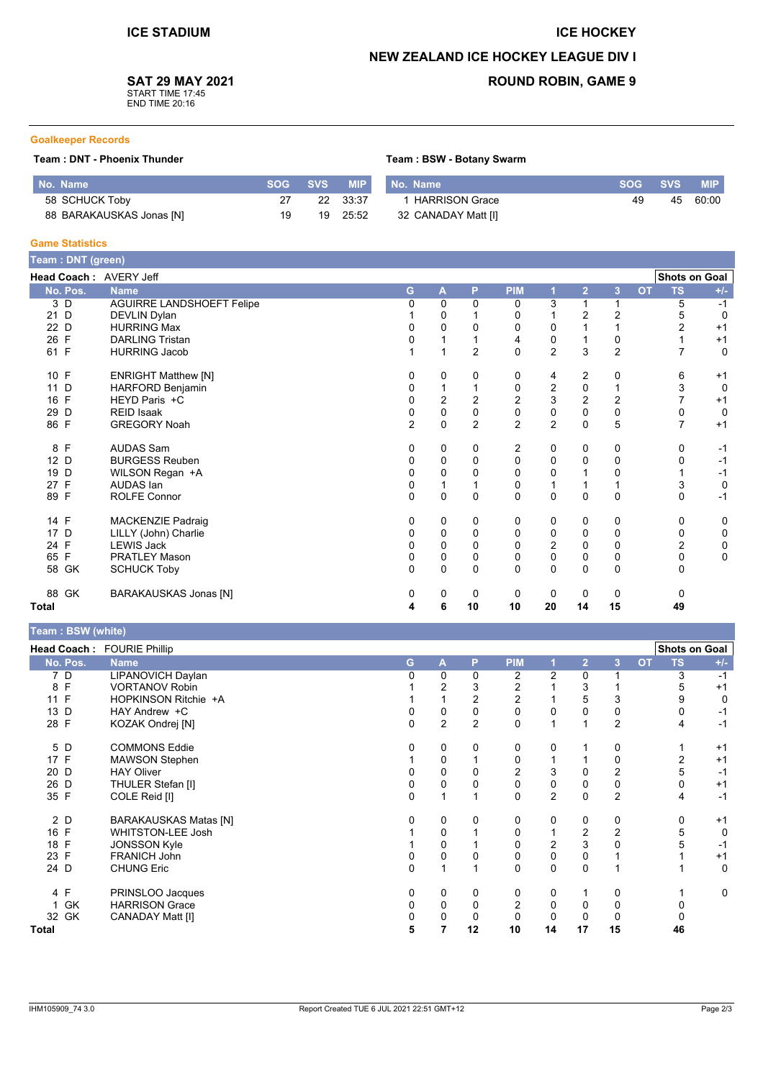#### **ICE HOCKEY**

### **NEW ZEALAND ICE HOCKEY LEAGUE DIV I**

Team: BSW - Botany Swarm

## **SAT 29 MAY 2021**

START TIME 17:45<br>END TIME 20:16

## **ROUND ROBIN, GAME 9**

#### **Goalkeeper Records**

#### Team : DNT - Phoenix Thunder

| No. Name                 | SOG | SVS / | <b>MIP</b> | No. Name              | <b>SOG</b> | <b>SVS</b> | <b>MIP</b> |
|--------------------------|-----|-------|------------|-----------------------|------------|------------|------------|
| 58 SCHUCK Toby           |     | 22    | 33.37      | <b>HARRISON Grace</b> | 49         | 45         | 60:00      |
| 88 BARAKAUSKAS Jonas [N] | 19  | 19    | 25:52      | 32 CANADAY Matt [I]   |            |            |            |

#### **Game Statistics**

|          | Team: DNT (green)                |  |   |                         |                |                |                         |                |                  |           |                      |             |
|----------|----------------------------------|--|---|-------------------------|----------------|----------------|-------------------------|----------------|------------------|-----------|----------------------|-------------|
|          | Head Coach: AVERY Jeff           |  |   |                         |                |                |                         |                |                  |           | <b>Shots on Goal</b> |             |
| No. Pos. | <b>Name</b>                      |  | G | $\mathbf{A}$            | P              | <b>PIM</b>     |                         | $\overline{2}$ | 3                | <b>OT</b> | <b>TS</b>            | $+/-$       |
| 3 D      | <b>AGUIRRE LANDSHOEFT Felipe</b> |  | 0 | 0                       | $\mathbf{0}$   | 0              | 3                       |                |                  |           | 5                    | $-1$        |
| 21 D     | DEVLIN Dylan                     |  |   | $\mathbf 0$             |                | 0              |                         | $\overline{2}$ | $\overline{2}$   |           | 5                    | $\Omega$    |
| 22 D     | <b>HURRING Max</b>               |  | 0 | 0                       | $\Omega$       | 0              | 0                       |                |                  |           | $\overline{2}$       | $+1$        |
| 26 F     | <b>DARLING Tristan</b>           |  | U | 1                       |                | 4              | 0                       |                | 0                |           |                      | $+1$        |
| 61 F     | <b>HURRING Jacob</b>             |  |   | 1                       | $\overline{2}$ | $\Omega$       | $\overline{2}$          | 3              | $\overline{2}$   |           |                      | $\mathbf 0$ |
| 10 F     | <b>ENRIGHT Matthew [N]</b>       |  | 0 | 0                       | 0              | 0              | 4                       | 2              | 0                |           | 6                    | $+1$        |
| 11 D     | HARFORD Benjamin                 |  | 0 | $\mathbf{1}$            |                | 0              | 2                       | 0              |                  |           | 3                    | $\mathbf 0$ |
| 16 F     | HEYD Paris +C                    |  | 0 | $\overline{\mathbf{c}}$ | 2              | $\overline{c}$ | 3                       | $\overline{2}$ | $\boldsymbol{2}$ |           |                      | $+1$        |
| 29 D     | <b>REID Isaak</b>                |  | 0 | $\mathsf{O}\xspace$     | $\mathbf 0$    | $\mathsf 0$    | $\mathbf 0$             | $\mathbf{0}$   | $\pmb{0}$        |           | 0                    | 0           |
| 86 F     | <b>GREGORY Noah</b>              |  | 2 | $\mathbf 0$             | $\overline{c}$ | $\overline{c}$ | $\overline{c}$          | $\Omega$       | 5                |           |                      | $+1$        |
| 8 F      | <b>AUDAS Sam</b>                 |  | 0 | 0                       | 0              | 2              | 0                       | 0              | 0                |           | 0                    | $-1$        |
| 12 D     | <b>BURGESS Reuben</b>            |  | 0 | 0                       | 0              | 0              | 0                       | 0              | 0                |           | 0                    | $-1$        |
| 19 D     | WILSON Regan +A                  |  | 0 | 0                       | $\Omega$       | $\pmb{0}$      | 0                       |                | 0                |           |                      | $-1$        |
| 27 F     | AUDAS Ian                        |  | 0 | 1                       |                | 0              |                         |                |                  |           | 3                    | 0           |
| 89 F     | <b>ROLFE Connor</b>              |  | 0 | $\Omega$                | $\mathbf{0}$   | $\Omega$       | $\mathbf{0}$            | $\Omega$       | $\mathbf 0$      |           | $\Omega$             | $-1$        |
| 14 F     | MACKENZIE Padraig                |  | 0 | 0                       | 0              | 0              | 0                       | 0              | 0                |           | 0                    | 0           |
| 17 D     | LILLY (John) Charlie             |  | 0 | 0                       | $\Omega$       | 0              | 0                       | $\mathbf 0$    | 0                |           | 0                    | 0           |
| 24 F     | <b>LEWIS Jack</b>                |  | 0 | 0                       | $\Omega$       | 0              | $\overline{\mathbf{c}}$ | 0              | 0                |           | $\overline{c}$       | 0           |
| 65 F     | <b>PRATLEY Mason</b>             |  | 0 | $\mathbf 0$             | 0              | 0              | $\overline{0}$          | $\mathbf 0$    | 0                |           | 0                    | 0           |
| 58 GK    | <b>SCHUCK Toby</b>               |  | 0 | $\mathbf{0}$            | $\mathbf 0$    | $\Omega$       | $\mathbf{0}$            | $\Omega$       | $\mathbf 0$      |           | $\Omega$             |             |
| 88 GK    | <b>BARAKAUSKAS Jonas [N]</b>     |  | 0 | 0                       | 0              | 0              | 0                       | 0              | $\mathbf 0$      |           | 0                    |             |
| Total    |                                  |  | 4 | 6                       | 10             | 10             | 20                      | 14             | 15               |           | 49                   |             |

# Team: BSW (white)

|          | Head Coach: FOURIE Phillip   |    |   |                |            |                |                |                |                        | <b>Shots on Goal</b> |
|----------|------------------------------|----|---|----------------|------------|----------------|----------------|----------------|------------------------|----------------------|
| No. Pos. | <b>Name</b>                  | G. | A | P              | <b>PIM</b> |                | $\overline{2}$ | 3              | <b>TS</b><br><b>OT</b> | $+/-$                |
| 7 D      | LIPANOVICH Daylan            |    | 0 | 0              | 2          | $\overline{2}$ | $\Omega$       |                | 3                      | -1                   |
| 8 F      | <b>VORTANOV Robin</b>        |    | 2 | 3              | 2          |                | 3              |                | 5                      | $+1$                 |
| 11 F     | HOPKINSON Ritchie +A         |    |   | 2              | 2          |                | 5              | 3              | 9                      |                      |
| 13 D     | HAY Andrew +C                |    | 0 | 0              | 0          |                | 0              | 0              | 0                      | -1                   |
| 28 F     | KOZAK Ondrej [N]             | 0  | 2 | $\overline{2}$ | 0          |                |                | $\overline{2}$ | 4                      | -1                   |
| 5 D      | <b>COMMONS Eddie</b>         |    | 0 | 0              | 0          | 0              |                | 0              |                        | $+1$                 |
| 17 F     | <b>MAWSON Stephen</b>        |    | 0 |                | 0          |                |                | 0              | 2                      | $+1$                 |
| 20 D     | <b>HAY Oliver</b>            |    | 0 | 0              | 2          | 3              | 0              | 2              | 5                      | -1                   |
| 26 D     | THULER Stefan [I]            |    | 0 | 0              | 0          | 0              | 0              | $\pmb{0}$      | 0                      | $+1$                 |
| 35 F     | COLE Reid [I]                | 0  |   |                | 0          | $\overline{2}$ | $\mathbf{0}$   | $\overline{2}$ | 4                      | $-1$                 |
| 2 D      | <b>BARAKAUSKAS Matas [N]</b> |    | 0 | 0              | 0          | 0              | 0              | 0              | 0                      | $+1$                 |
| 16 F     | <b>WHITSTON-LEE Josh</b>     |    | 0 |                | 0          |                | 2              | $\overline{2}$ | 5                      | 0                    |
| 18 F     | <b>JONSSON Kyle</b>          |    | 0 |                | 0          | 2              | 3              | $\mathbf 0$    | 5                      | $-1$                 |
| 23 F     | <b>FRANICH John</b>          |    | 0 | 0              | 0          | 0              | 0              |                |                        | $+1$                 |
| 24 D     | <b>CHUNG Eric</b>            | 0  |   |                | $\Omega$   | 0              | $\mathbf{0}$   |                |                        | 0                    |
| 4 F      | PRINSLOO Jacques             | 0  | 0 | 0              | 0          | 0              |                | 0              |                        | 0                    |
| 1 GK     | <b>HARRISON Grace</b>        | 0  | 0 | 0              | 2          | 0              | 0              | $\mathbf 0$    |                        |                      |
| 32 GK    | CANADAY Matt [I]             |    | 0 | 0              | 0          | 0              | $\Omega$       | 0              |                        |                      |
| Total    |                              | 5  |   | 12             | 10         | 14             | 17             | 15             | 46                     |                      |